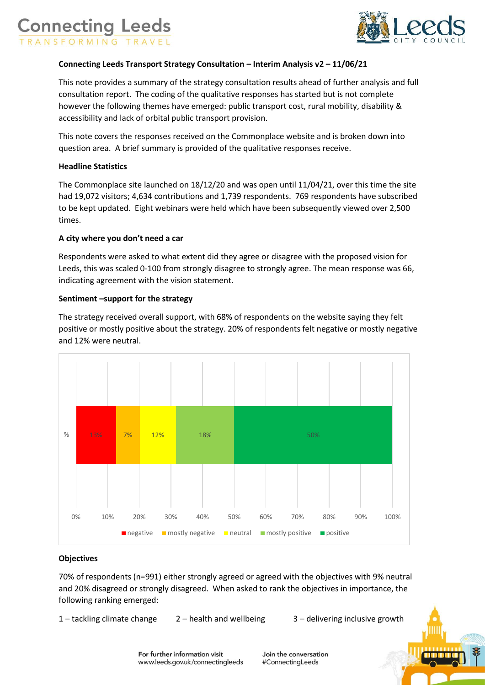



## **Connecting Leeds Transport Strategy Consultation – Interim Analysis v2 – 11/06/21**

This note provides a summary of the strategy consultation results ahead of further analysis and full consultation report. The coding of the qualitative responses has started but is not complete however the following themes have emerged: public transport cost, rural mobility, disability & accessibility and lack of orbital public transport provision.

This note covers the responses received on the Commonplace website and is broken down into question area. A brief summary is provided of the qualitative responses receive.

### **Headline Statistics**

The Commonplace site launched on 18/12/20 and was open until 11/04/21, over this time the site had 19,072 visitors; 4,634 contributions and 1,739 respondents. 769 respondents have subscribed to be kept updated. Eight webinars were held which have been subsequently viewed over 2,500 times.

### **A city where you don't need a car**

Respondents were asked to what extent did they agree or disagree with the proposed vision for Leeds, this was scaled 0-100 from strongly disagree to strongly agree. The mean response was 66, indicating agreement with the vision statement.

### **Sentiment –support for the strategy**

The strategy received overall support, with 68% of respondents on the website saying they felt positive or mostly positive about the strategy. 20% of respondents felt negative or mostly negative and 12% were neutral.



#### **Objectives**

70% of respondents (n=991) either strongly agreed or agreed with the objectives with 9% neutral and 20% disagreed or strongly disagreed. When asked to rank the objectives in importance, the following ranking emerged:

1 – tackling climate change 2 – health and wellbeing 3 – delivering inclusive growth

Join the conversation #ConnectingLeeds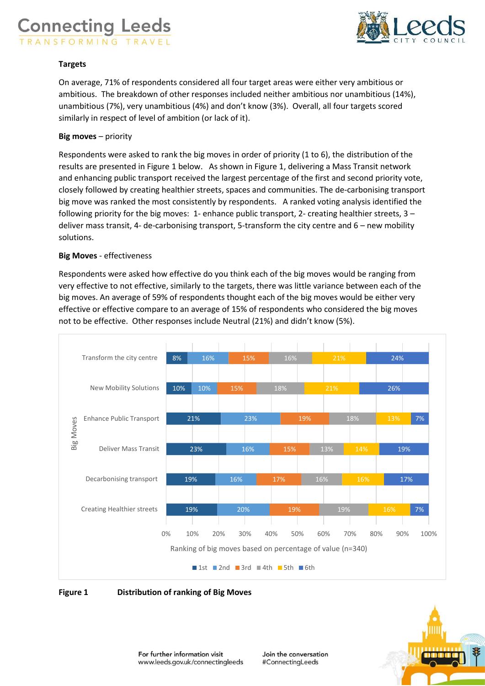## **Connecting Leeds** RANSFORMING TRAVEL



### **Targets**

On average, 71% of respondents considered all four target areas were either very ambitious or ambitious. The breakdown of other responses included neither ambitious nor unambitious (14%), unambitious (7%), very unambitious (4%) and don't know (3%). Overall, all four targets scored similarly in respect of level of ambition (or lack of it).

### **Big moves** – priority

Respondents were asked to rank the big moves in order of priority (1 to 6), the distribution of the results are presented in Figure 1 below. As shown in Figure 1, delivering a Mass Transit network and enhancing public transport received the largest percentage of the first and second priority vote, closely followed by creating healthier streets, spaces and communities. The de-carbonising transport big move was ranked the most consistently by respondents. A ranked voting analysis identified the following priority for the big moves: 1- enhance public transport, 2- creating healthier streets, 3 – deliver mass transit, 4- de-carbonising transport, 5-transform the city centre and 6 – new mobility solutions.

### **Big Moves** - effectiveness

Respondents were asked how effective do you think each of the big moves would be ranging from very effective to not effective, similarly to the targets, there was little variance between each of the big moves. An average of 59% of respondents thought each of the big moves would be either very effective or effective compare to an average of 15% of respondents who considered the big moves not to be effective. Other responses include Neutral (21%) and didn't know (5%).





**Figure 1 Distribution of ranking of Big Moves**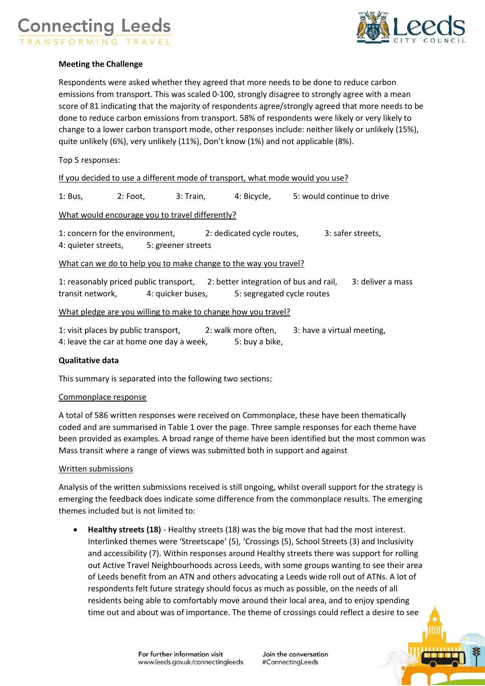# **Connecting Leeds** ANSFORMING TRAVEL



## **Meeting the Challenge**

Respondents were asked whether they agreed that more needs to be done to reduce carbon emissions from transport. This was scaled 0-100, strongly disagree to strongly agree with a mean score of 81 indicating that the majority of respondents agree/strongly agreed that more needs to be done to reduce carbon emissions from transport. 58% of respondents were likely or very likely to change to a lower carbon transport mode, other responses include: neither likely or unlikely (15%), quite unlikely (6%), very unlikely (11%), Don't know (1%) and not applicable (8%).

## Top 5 responses:

| If you decided to use a different mode of transport, what mode would you use? |
|-------------------------------------------------------------------------------|
|-------------------------------------------------------------------------------|

1: Bus, 2: Foot, 3: Train, 4: Bicycle, 5: would continue to drive

What would encourage you to travel differently?

1: concern for the environment, 2: dedicated cycle routes, 3: safer streets, 4: quieter streets, 5: greener streets

What can we do to help you to make change to the way you travel?

1: reasonably priced public transport, 2: better integration of bus and rail, 3: deliver a mass transit network, 4: quicker buses, 5: segregated cycle routes

### What pledge are you willing to make to change how you travel?

| 1: visit places by public transport,     | 2: walk more often, | 3: have a virtual meeting, |
|------------------------------------------|---------------------|----------------------------|
| 4: leave the car at home one day a week, | 5: buy a bike,      |                            |

### **Qualitative data**

This summary is separated into the following two sections:

### Commonplace response

A total of 586 written responses were received on Commonplace, these have been thematically coded and are summarised in Table 1 over the page. Three sample responses for each theme have been provided as examples. A broad range of theme have been identified but the most common was Mass transit where a range of views was submitted both in support and against

### Written submissions

Analysis of the written submissions received is still ongoing, whilst overall support for the strategy is emerging the feedback does indicate some difference from the commonplace results. The emerging themes included but is not limited to:

 **Healthy streets (18)** - Healthy streets (18) was the big move that had the most interest. Interlinked themes were 'Streetscape' (5), 'Crossings (5), School Streets (3) and Inclusivity and accessibility (7). Within responses around Healthy streets there was support for rolling out Active Travel Neighbourhoods across Leeds, with some groups wanting to see their area of Leeds benefit from an ATN and others advocating a Leeds wide roll out of ATNs. A lot of respondents felt future strategy should focus as much as possible, on the needs of all residents being able to comfortably move around their local area, and to enjoy spending time out and about was of importance. The theme of crossings could reflect a desire to see

Join the conversation #ConnectingLeeds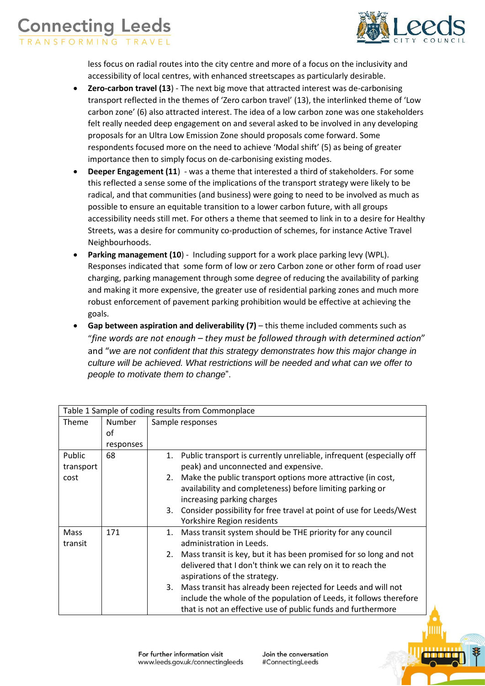## **Connecting Leeds** RANSFORMING TRAVEL



less focus on radial routes into the city centre and more of a focus on the inclusivity and accessibility of local centres, with enhanced streetscapes as particularly desirable.

- **Zero-carbon travel (13**) The next big move that attracted interest was de-carbonising transport reflected in the themes of 'Zero carbon travel' (13), the interlinked theme of 'Low carbon zone' (6) also attracted interest. The idea of a low carbon zone was one stakeholders felt really needed deep engagement on and several asked to be involved in any developing proposals for an Ultra Low Emission Zone should proposals come forward. Some respondents focused more on the need to achieve 'Modal shift' (5) as being of greater importance then to simply focus on de-carbonising existing modes.
- **Deeper Engagement (11**) was a theme that interested a third of stakeholders. For some this reflected a sense some of the implications of the transport strategy were likely to be radical, and that communities (and business) were going to need to be involved as much as possible to ensure an equitable transition to a lower carbon future, with all groups accessibility needs still met. For others a theme that seemed to link in to a desire for Healthy Streets, was a desire for community co-production of schemes, for instance Active Travel Neighbourhoods.
- **Parking management (10)** Including support for a work place parking levy (WPL). Responses indicated that some form of low or zero Carbon zone or other form of road user charging, parking management through some degree of reducing the availability of parking and making it more expensive, the greater use of residential parking zones and much more robust enforcement of pavement parking prohibition would be effective at achieving the goals.
- **Gap between aspiration and deliverability (7)** this theme included comments such as "*fine words are not enough – they must be followed through with determined action*" and "*we are not confident that this strategy demonstrates how this major change in culture will be achieved. What restrictions will be needed and what can we offer to people to motivate them to change*".

| Table 1 Sample of coding results from Commonplace |           |                  |                                                                                                                          |  |  |
|---------------------------------------------------|-----------|------------------|--------------------------------------------------------------------------------------------------------------------------|--|--|
| Theme                                             | Number    | Sample responses |                                                                                                                          |  |  |
|                                                   | of        |                  |                                                                                                                          |  |  |
|                                                   | responses |                  |                                                                                                                          |  |  |
| Public                                            | 68        | 1.               | Public transport is currently unreliable, infrequent (especially off                                                     |  |  |
| transport                                         |           |                  | peak) and unconnected and expensive.                                                                                     |  |  |
| cost                                              |           | 2.               | Make the public transport options more attractive (in cost,<br>availability and completeness) before limiting parking or |  |  |
|                                                   |           |                  | increasing parking charges                                                                                               |  |  |
|                                                   |           | 3.               | Consider possibility for free travel at point of use for Leeds/West                                                      |  |  |
|                                                   |           |                  | Yorkshire Region residents                                                                                               |  |  |
| Mass                                              | 171       | 1.               | Mass transit system should be THE priority for any council                                                               |  |  |
| transit                                           |           |                  | administration in Leeds.                                                                                                 |  |  |
|                                                   |           | 2.               | Mass transit is key, but it has been promised for so long and not                                                        |  |  |
|                                                   |           |                  | delivered that I don't think we can rely on it to reach the                                                              |  |  |
|                                                   |           |                  | aspirations of the strategy.                                                                                             |  |  |
|                                                   |           | 3.               | Mass transit has already been rejected for Leeds and will not                                                            |  |  |
|                                                   |           |                  | include the whole of the population of Leeds, it follows therefore                                                       |  |  |
|                                                   |           |                  | that is not an effective use of public funds and furthermore                                                             |  |  |